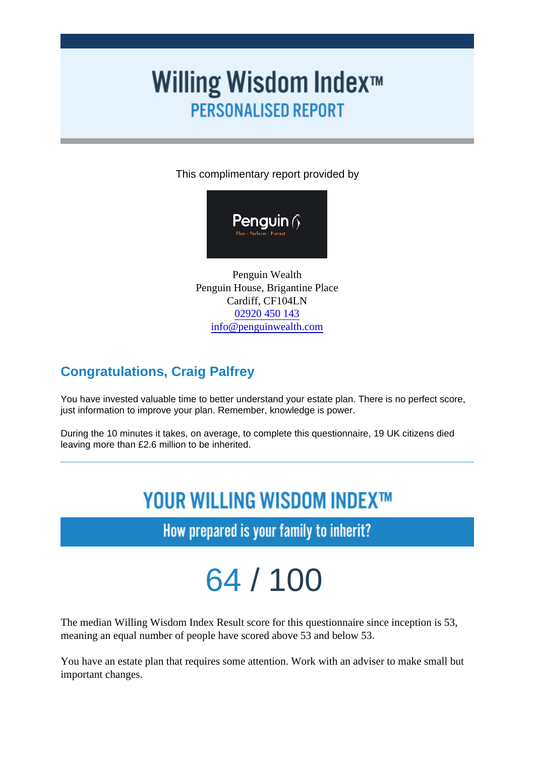This complimentary report provided by

Penguin Wealth Penguin House, Brigantine Place Cardiff, CF104LN [02920 450 14](/var/www/html/willingwisdom/tel:02920 450 143)3 [info@penguinwealth.com](mailto:info@penguinwealth.com)

## Congratulations, Craig Palfrey

You have invested valuable time to better understand your estate plan. There is no perfect score, just information to improve your plan. Remember, knowledge is power.

During the 10 minutes it takes, on average, to complete this questionnaire, 19 UK citizens died leaving more than £2.6 million to be inherited.

# 64 / 100

The median Willing Wisdom Index Result score for this questionnaire since inception is 53, meaning an equal number of people have scored above 53 and below 53.

You have an estate plan that requires some attention. Work with an adviser to make small but important changes.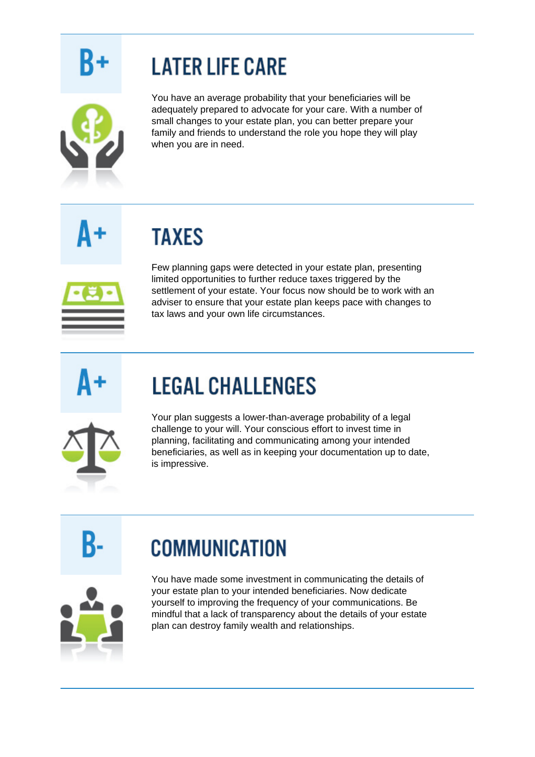# **LATER LIFE CARE**



You have an average probability that your beneficiaries will be adequately prepared to advocate for your care. With a number of small changes to your estate plan, you can better prepare your family and friends to understand the role you hope they will play when you are in need.

**TAXES** 



Few planning gaps were detected in your estate plan, presenting limited opportunities to further reduce taxes triggered by the settlement of your estate. Your focus now should be to work with an adviser to ensure that your estate plan keeps pace with changes to tax laws and your own life circumstances.

# **LEGAL CHALLENGES**



Your plan suggests a lower-than-average probability of a legal challenge to your will. Your conscious effort to invest time in planning, facilitating and communicating among your intended beneficiaries, as well as in keeping your documentation up to date, is impressive.

## **COMMUNICATION**



You have made some investment in communicating the details of your estate plan to your intended beneficiaries. Now dedicate yourself to improving the frequency of your communications. Be mindful that a lack of transparency about the details of your estate plan can destroy family wealth and relationships.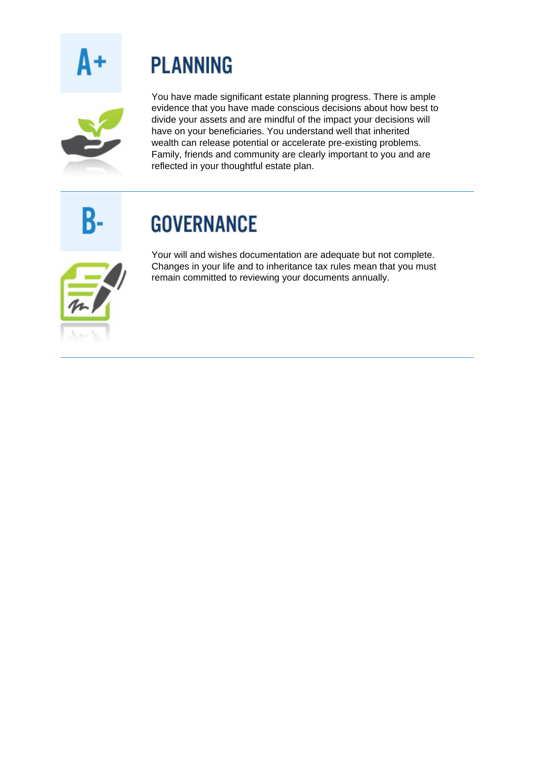## **PLANNING**



You have made significant estate planning progress. There is ample evidence that you have made conscious decisions about how best to divide your assets and are mindful of the impact your decisions will have on your beneficiaries. You understand well that inherited wealth can release potential or accelerate pre-existing problems. Family, friends and community are clearly important to you and are reflected in your thoughtful estate plan.

# **GOVERNANCE**



Your will and wishes documentation are adequate but not complete. Changes in your life and to inheritance tax rules mean that you must remain committed to reviewing your documents annually.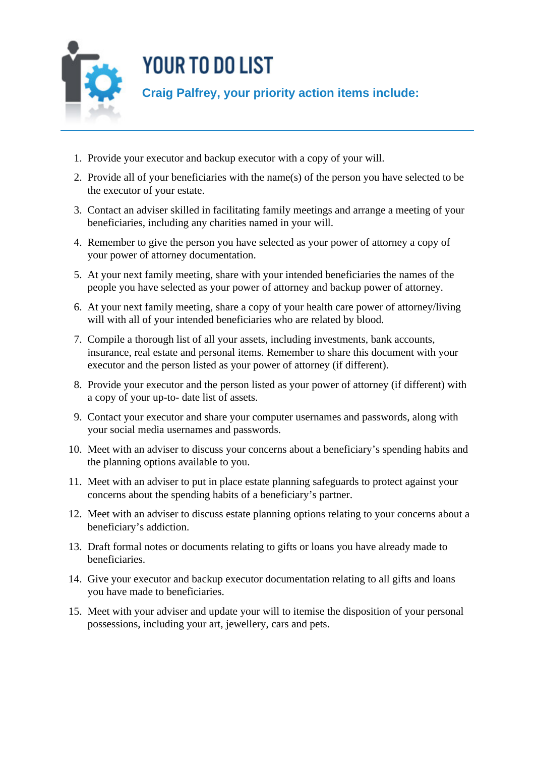

- 1. Provide your executor and backup executor with a copy of your will.
- 2. Provide all of your beneficiaries with the name(s) of the person you have selected to be the executor of your estate.
- 3. Contact an adviser skilled in facilitating family meetings and arrange a meeting of your beneficiaries, including any charities named in your will.
- 4. Remember to give the person you have selected as your power of attorney a copy of your power of attorney documentation.
- 5. At your next family meeting, share with your intended beneficiaries the names of the people you have selected as your power of attorney and backup power of attorney.
- 6. At your next family meeting, share a copy of your health care power of attorney/living will with all of your intended beneficiaries who are related by blood.
- 7. Compile a thorough list of all your assets, including investments, bank accounts, insurance, real estate and personal items. Remember to share this document with your executor and the person listed as your power of attorney (if different).
- 8. Provide your executor and the person listed as your power of attorney (if different) with a copy of your up-to- date list of assets.
- 9. Contact your executor and share your computer usernames and passwords, along with your social media usernames and passwords.
- 10. Meet with an adviser to discuss your concerns about a beneficiary's spending habits and the planning options available to you.
- 11. Meet with an adviser to put in place estate planning safeguards to protect against your concerns about the spending habits of a beneficiary's partner.
- 12. Meet with an adviser to discuss estate planning options relating to your concerns about a beneficiary's addiction.
- 13. Draft formal notes or documents relating to gifts or loans you have already made to beneficiaries.
- 14. Give your executor and backup executor documentation relating to all gifts and loans you have made to beneficiaries.
- 15. Meet with your adviser and update your will to itemise the disposition of your personal possessions, including your art, jewellery, cars and pets.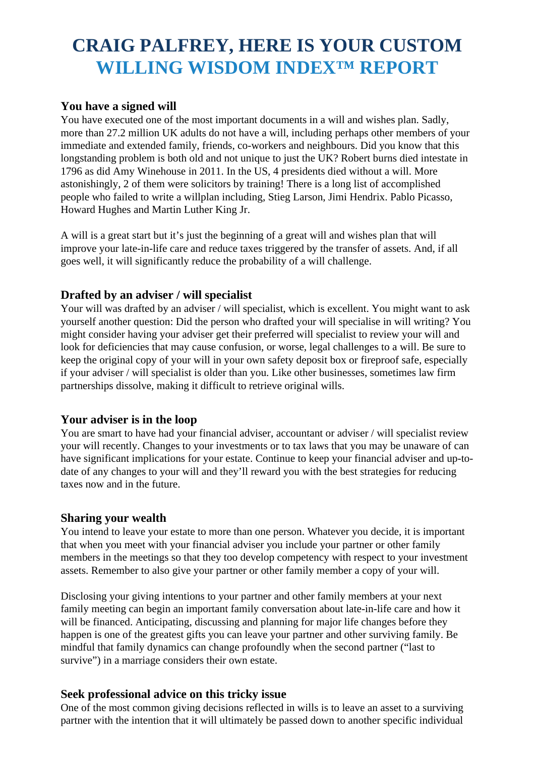## **CRAIG PALFREY, HERE IS YOUR CUSTOM WILLING WISDOM INDEX™ REPORT**

#### **You have a signed will**

You have executed one of the most important documents in a will and wishes plan. Sadly, more than 27.2 million UK adults do not have a will, including perhaps other members of your immediate and extended family, friends, co-workers and neighbours. Did you know that this longstanding problem is both old and not unique to just the UK? Robert burns died intestate in 1796 as did Amy Winehouse in 2011. In the US, 4 presidents died without a will. More astonishingly, 2 of them were solicitors by training! There is a long list of accomplished people who failed to write a willplan including, Stieg Larson, Jimi Hendrix. Pablo Picasso, Howard Hughes and Martin Luther King Jr.

A will is a great start but it's just the beginning of a great will and wishes plan that will improve your late-in-life care and reduce taxes triggered by the transfer of assets. And, if all goes well, it will significantly reduce the probability of a will challenge.

### **Drafted by an adviser / will specialist**

Your will was drafted by an adviser / will specialist, which is excellent. You might want to ask yourself another question: Did the person who drafted your will specialise in will writing? You might consider having your adviser get their preferred will specialist to review your will and look for deficiencies that may cause confusion, or worse, legal challenges to a will. Be sure to keep the original copy of your will in your own safety deposit box or fireproof safe, especially if your adviser / will specialist is older than you. Like other businesses, sometimes law firm partnerships dissolve, making it difficult to retrieve original wills.

#### **Your adviser is in the loop**

You are smart to have had your financial adviser, accountant or adviser / will specialist review your will recently. Changes to your investments or to tax laws that you may be unaware of can have significant implications for your estate. Continue to keep your financial adviser and up-todate of any changes to your will and they'll reward you with the best strategies for reducing taxes now and in the future.

#### **Sharing your wealth**

You intend to leave your estate to more than one person. Whatever you decide, it is important that when you meet with your financial adviser you include your partner or other family members in the meetings so that they too develop competency with respect to your investment assets. Remember to also give your partner or other family member a copy of your will.

Disclosing your giving intentions to your partner and other family members at your next family meeting can begin an important family conversation about late-in-life care and how it will be financed. Anticipating, discussing and planning for major life changes before they happen is one of the greatest gifts you can leave your partner and other surviving family. Be mindful that family dynamics can change profoundly when the second partner ("last to survive") in a marriage considers their own estate.

#### **Seek professional advice on this tricky issue**

One of the most common giving decisions reflected in wills is to leave an asset to a surviving partner with the intention that it will ultimately be passed down to another specific individual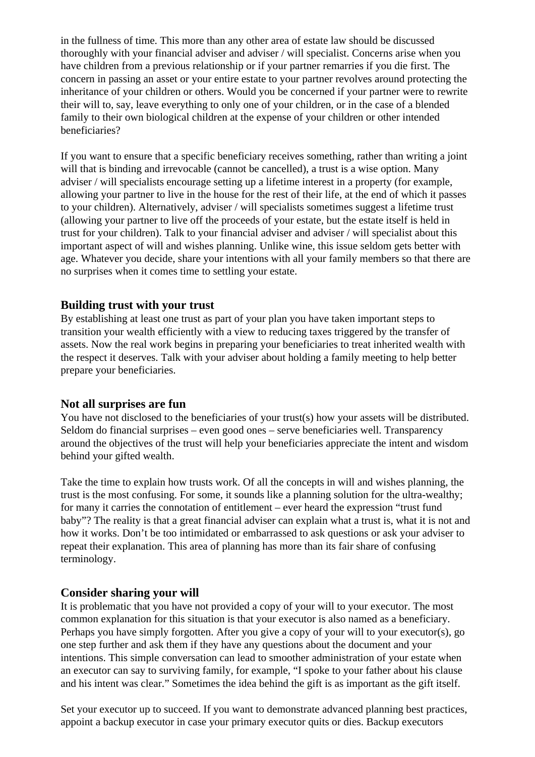in the fullness of time. This more than any other area of estate law should be discussed thoroughly with your financial adviser and adviser / will specialist. Concerns arise when you have children from a previous relationship or if your partner remarries if you die first. The concern in passing an asset or your entire estate to your partner revolves around protecting the inheritance of your children or others. Would you be concerned if your partner were to rewrite their will to, say, leave everything to only one of your children, or in the case of a blended family to their own biological children at the expense of your children or other intended beneficiaries?

If you want to ensure that a specific beneficiary receives something, rather than writing a joint will that is binding and irrevocable (cannot be cancelled), a trust is a wise option. Many adviser / will specialists encourage setting up a lifetime interest in a property (for example, allowing your partner to live in the house for the rest of their life, at the end of which it passes to your children). Alternatively, adviser / will specialists sometimes suggest a lifetime trust (allowing your partner to live off the proceeds of your estate, but the estate itself is held in trust for your children). Talk to your financial adviser and adviser / will specialist about this important aspect of will and wishes planning. Unlike wine, this issue seldom gets better with age. Whatever you decide, share your intentions with all your family members so that there are no surprises when it comes time to settling your estate.

#### **Building trust with your trust**

By establishing at least one trust as part of your plan you have taken important steps to transition your wealth efficiently with a view to reducing taxes triggered by the transfer of assets. Now the real work begins in preparing your beneficiaries to treat inherited wealth with the respect it deserves. Talk with your adviser about holding a family meeting to help better prepare your beneficiaries.

#### **Not all surprises are fun**

You have not disclosed to the beneficiaries of your trust(s) how your assets will be distributed. Seldom do financial surprises – even good ones – serve beneficiaries well. Transparency around the objectives of the trust will help your beneficiaries appreciate the intent and wisdom behind your gifted wealth.

Take the time to explain how trusts work. Of all the concepts in will and wishes planning, the trust is the most confusing. For some, it sounds like a planning solution for the ultra-wealthy; for many it carries the connotation of entitlement – ever heard the expression "trust fund baby"? The reality is that a great financial adviser can explain what a trust is, what it is not and how it works. Don't be too intimidated or embarrassed to ask questions or ask your adviser to repeat their explanation. This area of planning has more than its fair share of confusing terminology.

#### **Consider sharing your will**

It is problematic that you have not provided a copy of your will to your executor. The most common explanation for this situation is that your executor is also named as a beneficiary. Perhaps you have simply forgotten. After you give a copy of your will to your executor(s), go one step further and ask them if they have any questions about the document and your intentions. This simple conversation can lead to smoother administration of your estate when an executor can say to surviving family, for example, "I spoke to your father about his clause and his intent was clear." Sometimes the idea behind the gift is as important as the gift itself.

Set your executor up to succeed. If you want to demonstrate advanced planning best practices, appoint a backup executor in case your primary executor quits or dies. Backup executors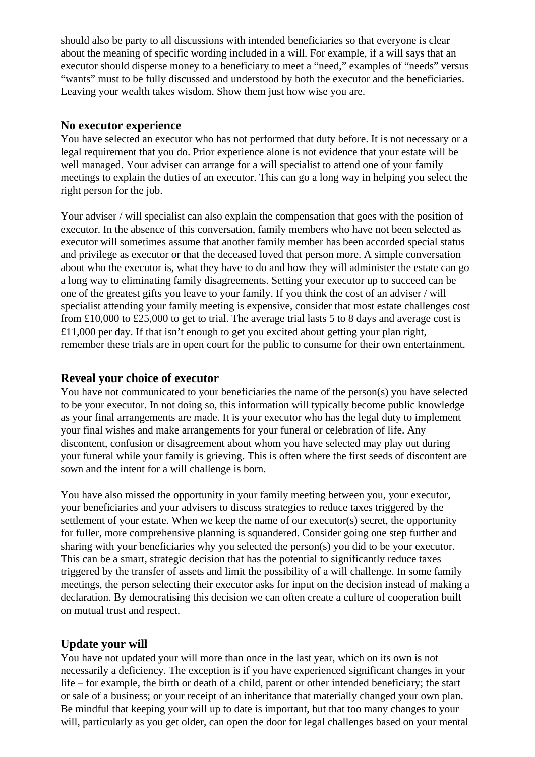should also be party to all discussions with intended beneficiaries so that everyone is clear about the meaning of specific wording included in a will. For example, if a will says that an executor should disperse money to a beneficiary to meet a "need," examples of "needs" versus "wants" must to be fully discussed and understood by both the executor and the beneficiaries. Leaving your wealth takes wisdom. Show them just how wise you are.

#### **No executor experience**

You have selected an executor who has not performed that duty before. It is not necessary or a legal requirement that you do. Prior experience alone is not evidence that your estate will be well managed. Your adviser can arrange for a will specialist to attend one of your family meetings to explain the duties of an executor. This can go a long way in helping you select the right person for the job.

Your adviser / will specialist can also explain the compensation that goes with the position of executor. In the absence of this conversation, family members who have not been selected as executor will sometimes assume that another family member has been accorded special status and privilege as executor or that the deceased loved that person more. A simple conversation about who the executor is, what they have to do and how they will administer the estate can go a long way to eliminating family disagreements. Setting your executor up to succeed can be one of the greatest gifts you leave to your family. If you think the cost of an adviser / will specialist attending your family meeting is expensive, consider that most estate challenges cost from £10,000 to £25,000 to get to trial. The average trial lasts 5 to 8 days and average cost is  $£11,000$  per day. If that isn't enough to get you excited about getting your plan right, remember these trials are in open court for the public to consume for their own entertainment.

#### **Reveal your choice of executor**

You have not communicated to your beneficiaries the name of the person(s) you have selected to be your executor. In not doing so, this information will typically become public knowledge as your final arrangements are made. It is your executor who has the legal duty to implement your final wishes and make arrangements for your funeral or celebration of life. Any discontent, confusion or disagreement about whom you have selected may play out during your funeral while your family is grieving. This is often where the first seeds of discontent are sown and the intent for a will challenge is born.

You have also missed the opportunity in your family meeting between you, your executor, your beneficiaries and your advisers to discuss strategies to reduce taxes triggered by the settlement of your estate. When we keep the name of our executor(s) secret, the opportunity for fuller, more comprehensive planning is squandered. Consider going one step further and sharing with your beneficiaries why you selected the person(s) you did to be your executor. This can be a smart, strategic decision that has the potential to significantly reduce taxes triggered by the transfer of assets and limit the possibility of a will challenge. In some family meetings, the person selecting their executor asks for input on the decision instead of making a declaration. By democratising this decision we can often create a culture of cooperation built on mutual trust and respect.

#### **Update your will**

You have not updated your will more than once in the last year, which on its own is not necessarily a deficiency. The exception is if you have experienced significant changes in your life – for example, the birth or death of a child, parent or other intended beneficiary; the start or sale of a business; or your receipt of an inheritance that materially changed your own plan. Be mindful that keeping your will up to date is important, but that too many changes to your will, particularly as you get older, can open the door for legal challenges based on your mental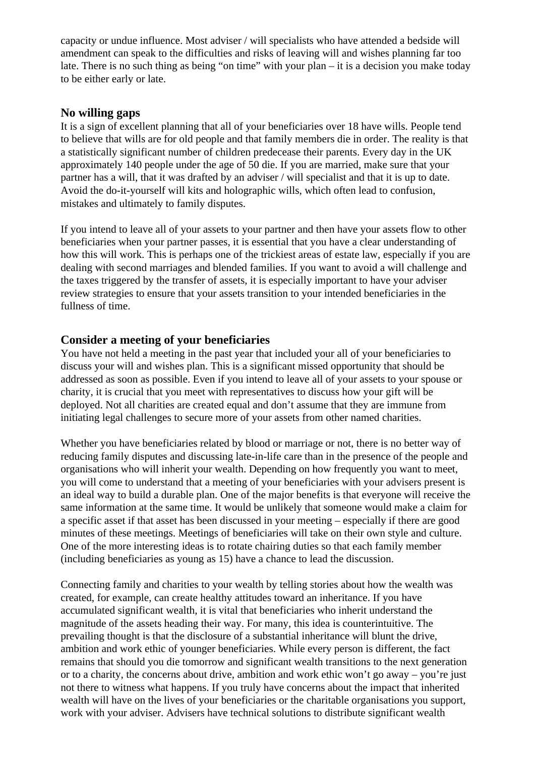capacity or undue influence. Most adviser / will specialists who have attended a bedside will amendment can speak to the difficulties and risks of leaving will and wishes planning far too late. There is no such thing as being "on time" with your plan – it is a decision you make today to be either early or late.

#### **No willing gaps**

It is a sign of excellent planning that all of your beneficiaries over 18 have wills. People tend to believe that wills are for old people and that family members die in order. The reality is that a statistically significant number of children predecease their parents. Every day in the UK approximately 140 people under the age of 50 die. If you are married, make sure that your partner has a will, that it was drafted by an adviser / will specialist and that it is up to date. Avoid the do-it-yourself will kits and holographic wills, which often lead to confusion, mistakes and ultimately to family disputes.

If you intend to leave all of your assets to your partner and then have your assets flow to other beneficiaries when your partner passes, it is essential that you have a clear understanding of how this will work. This is perhaps one of the trickiest areas of estate law, especially if you are dealing with second marriages and blended families. If you want to avoid a will challenge and the taxes triggered by the transfer of assets, it is especially important to have your adviser review strategies to ensure that your assets transition to your intended beneficiaries in the fullness of time.

### **Consider a meeting of your beneficiaries**

You have not held a meeting in the past year that included your all of your beneficiaries to discuss your will and wishes plan. This is a significant missed opportunity that should be addressed as soon as possible. Even if you intend to leave all of your assets to your spouse or charity, it is crucial that you meet with representatives to discuss how your gift will be deployed. Not all charities are created equal and don't assume that they are immune from initiating legal challenges to secure more of your assets from other named charities.

Whether you have beneficiaries related by blood or marriage or not, there is no better way of reducing family disputes and discussing late-in-life care than in the presence of the people and organisations who will inherit your wealth. Depending on how frequently you want to meet, you will come to understand that a meeting of your beneficiaries with your advisers present is an ideal way to build a durable plan. One of the major benefits is that everyone will receive the same information at the same time. It would be unlikely that someone would make a claim for a specific asset if that asset has been discussed in your meeting – especially if there are good minutes of these meetings. Meetings of beneficiaries will take on their own style and culture. One of the more interesting ideas is to rotate chairing duties so that each family member (including beneficiaries as young as 15) have a chance to lead the discussion.

Connecting family and charities to your wealth by telling stories about how the wealth was created, for example, can create healthy attitudes toward an inheritance. If you have accumulated significant wealth, it is vital that beneficiaries who inherit understand the magnitude of the assets heading their way. For many, this idea is counterintuitive. The prevailing thought is that the disclosure of a substantial inheritance will blunt the drive, ambition and work ethic of younger beneficiaries. While every person is different, the fact remains that should you die tomorrow and significant wealth transitions to the next generation or to a charity, the concerns about drive, ambition and work ethic won't go away – you're just not there to witness what happens. If you truly have concerns about the impact that inherited wealth will have on the lives of your beneficiaries or the charitable organisations you support, work with your adviser. Advisers have technical solutions to distribute significant wealth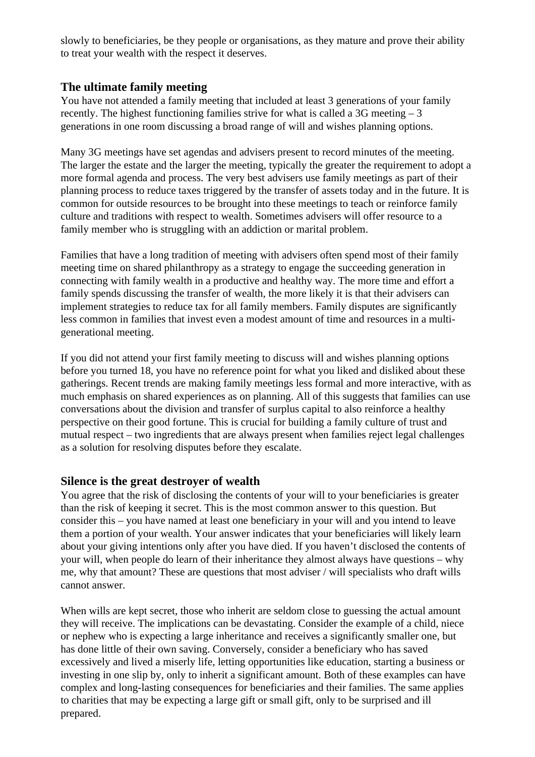slowly to beneficiaries, be they people or organisations, as they mature and prove their ability to treat your wealth with the respect it deserves.

#### **The ultimate family meeting**

You have not attended a family meeting that included at least 3 generations of your family recently. The highest functioning families strive for what is called a  $3G$  meeting  $-3$ generations in one room discussing a broad range of will and wishes planning options.

Many 3G meetings have set agendas and advisers present to record minutes of the meeting. The larger the estate and the larger the meeting, typically the greater the requirement to adopt a more formal agenda and process. The very best advisers use family meetings as part of their planning process to reduce taxes triggered by the transfer of assets today and in the future. It is common for outside resources to be brought into these meetings to teach or reinforce family culture and traditions with respect to wealth. Sometimes advisers will offer resource to a family member who is struggling with an addiction or marital problem.

Families that have a long tradition of meeting with advisers often spend most of their family meeting time on shared philanthropy as a strategy to engage the succeeding generation in connecting with family wealth in a productive and healthy way. The more time and effort a family spends discussing the transfer of wealth, the more likely it is that their advisers can implement strategies to reduce tax for all family members. Family disputes are significantly less common in families that invest even a modest amount of time and resources in a multigenerational meeting.

If you did not attend your first family meeting to discuss will and wishes planning options before you turned 18, you have no reference point for what you liked and disliked about these gatherings. Recent trends are making family meetings less formal and more interactive, with as much emphasis on shared experiences as on planning. All of this suggests that families can use conversations about the division and transfer of surplus capital to also reinforce a healthy perspective on their good fortune. This is crucial for building a family culture of trust and mutual respect – two ingredients that are always present when families reject legal challenges as a solution for resolving disputes before they escalate.

### **Silence is the great destroyer of wealth**

You agree that the risk of disclosing the contents of your will to your beneficiaries is greater than the risk of keeping it secret. This is the most common answer to this question. But consider this – you have named at least one beneficiary in your will and you intend to leave them a portion of your wealth. Your answer indicates that your beneficiaries will likely learn about your giving intentions only after you have died. If you haven't disclosed the contents of your will, when people do learn of their inheritance they almost always have questions – why me, why that amount? These are questions that most adviser / will specialists who draft wills cannot answer.

When wills are kept secret, those who inherit are seldom close to guessing the actual amount they will receive. The implications can be devastating. Consider the example of a child, niece or nephew who is expecting a large inheritance and receives a significantly smaller one, but has done little of their own saving. Conversely, consider a beneficiary who has saved excessively and lived a miserly life, letting opportunities like education, starting a business or investing in one slip by, only to inherit a significant amount. Both of these examples can have complex and long-lasting consequences for beneficiaries and their families. The same applies to charities that may be expecting a large gift or small gift, only to be surprised and ill prepared.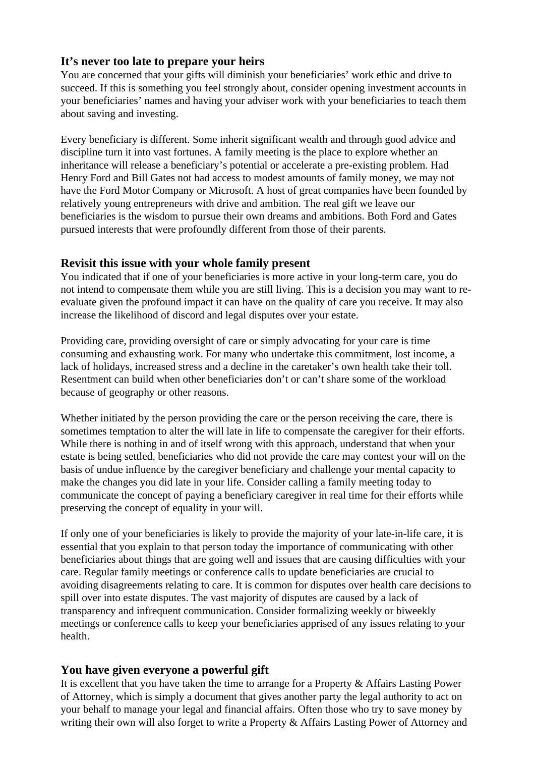#### **It's never too late to prepare your heirs**

You are concerned that your gifts will diminish your beneficiaries' work ethic and drive to succeed. If this is something you feel strongly about, consider opening investment accounts in your beneficiaries' names and having your adviser work with your beneficiaries to teach them about saving and investing.

Every beneficiary is different. Some inherit significant wealth and through good advice and discipline turn it into vast fortunes. A family meeting is the place to explore whether an inheritance will release a beneficiary's potential or accelerate a pre-existing problem. Had Henry Ford and Bill Gates not had access to modest amounts of family money, we may not have the Ford Motor Company or Microsoft. A host of great companies have been founded by relatively young entrepreneurs with drive and ambition. The real gift we leave our beneficiaries is the wisdom to pursue their own dreams and ambitions. Both Ford and Gates pursued interests that were profoundly different from those of their parents.

#### **Revisit this issue with your whole family present**

You indicated that if one of your beneficiaries is more active in your long-term care, you do not intend to compensate them while you are still living. This is a decision you may want to reevaluate given the profound impact it can have on the quality of care you receive. It may also increase the likelihood of discord and legal disputes over your estate.

Providing care, providing oversight of care or simply advocating for your care is time consuming and exhausting work. For many who undertake this commitment, lost income, a lack of holidays, increased stress and a decline in the caretaker's own health take their toll. Resentment can build when other beneficiaries don't or can't share some of the workload because of geography or other reasons.

Whether initiated by the person providing the care or the person receiving the care, there is sometimes temptation to alter the will late in life to compensate the caregiver for their efforts. While there is nothing in and of itself wrong with this approach, understand that when your estate is being settled, beneficiaries who did not provide the care may contest your will on the basis of undue influence by the caregiver beneficiary and challenge your mental capacity to make the changes you did late in your life. Consider calling a family meeting today to communicate the concept of paying a beneficiary caregiver in real time for their efforts while preserving the concept of equality in your will.

If only one of your beneficiaries is likely to provide the majority of your late-in-life care, it is essential that you explain to that person today the importance of communicating with other beneficiaries about things that are going well and issues that are causing difficulties with your care. Regular family meetings or conference calls to update beneficiaries are crucial to avoiding disagreements relating to care. It is common for disputes over health care decisions to spill over into estate disputes. The vast majority of disputes are caused by a lack of transparency and infrequent communication. Consider formalizing weekly or biweekly meetings or conference calls to keep your beneficiaries apprised of any issues relating to your health.

### **You have given everyone a powerful gift**

It is excellent that you have taken the time to arrange for a Property & Affairs Lasting Power of Attorney, which is simply a document that gives another party the legal authority to act on your behalf to manage your legal and financial affairs. Often those who try to save money by writing their own will also forget to write a Property & Affairs Lasting Power of Attorney and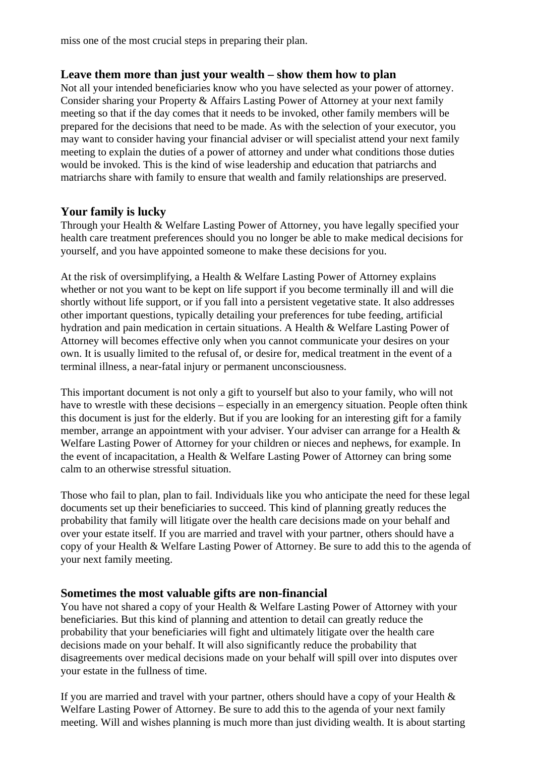miss one of the most crucial steps in preparing their plan.

#### **Leave them more than just your wealth – show them how to plan**

Not all your intended beneficiaries know who you have selected as your power of attorney. Consider sharing your Property & Affairs Lasting Power of Attorney at your next family meeting so that if the day comes that it needs to be invoked, other family members will be prepared for the decisions that need to be made. As with the selection of your executor, you may want to consider having your financial adviser or will specialist attend your next family meeting to explain the duties of a power of attorney and under what conditions those duties would be invoked. This is the kind of wise leadership and education that patriarchs and matriarchs share with family to ensure that wealth and family relationships are preserved.

### **Your family is lucky**

Through your Health & Welfare Lasting Power of Attorney, you have legally specified your health care treatment preferences should you no longer be able to make medical decisions for yourself, and you have appointed someone to make these decisions for you.

At the risk of oversimplifying, a Health & Welfare Lasting Power of Attorney explains whether or not you want to be kept on life support if you become terminally ill and will die shortly without life support, or if you fall into a persistent vegetative state. It also addresses other important questions, typically detailing your preferences for tube feeding, artificial hydration and pain medication in certain situations. A Health & Welfare Lasting Power of Attorney will becomes effective only when you cannot communicate your desires on your own. It is usually limited to the refusal of, or desire for, medical treatment in the event of a terminal illness, a near-fatal injury or permanent unconsciousness.

This important document is not only a gift to yourself but also to your family, who will not have to wrestle with these decisions – especially in an emergency situation. People often think this document is just for the elderly. But if you are looking for an interesting gift for a family member, arrange an appointment with your adviser. Your adviser can arrange for a Health & Welfare Lasting Power of Attorney for your children or nieces and nephews, for example. In the event of incapacitation, a Health & Welfare Lasting Power of Attorney can bring some calm to an otherwise stressful situation.

Those who fail to plan, plan to fail. Individuals like you who anticipate the need for these legal documents set up their beneficiaries to succeed. This kind of planning greatly reduces the probability that family will litigate over the health care decisions made on your behalf and over your estate itself. If you are married and travel with your partner, others should have a copy of your Health & Welfare Lasting Power of Attorney. Be sure to add this to the agenda of your next family meeting.

### **Sometimes the most valuable gifts are non-financial**

You have not shared a copy of your Health & Welfare Lasting Power of Attorney with your beneficiaries. But this kind of planning and attention to detail can greatly reduce the probability that your beneficiaries will fight and ultimately litigate over the health care decisions made on your behalf. It will also significantly reduce the probability that disagreements over medical decisions made on your behalf will spill over into disputes over your estate in the fullness of time.

If you are married and travel with your partner, others should have a copy of your Health  $\&$ Welfare Lasting Power of Attorney. Be sure to add this to the agenda of your next family meeting. Will and wishes planning is much more than just dividing wealth. It is about starting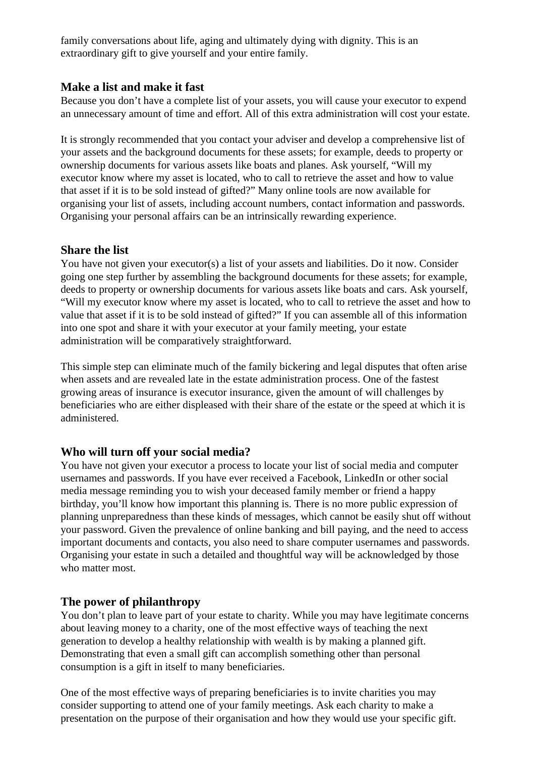family conversations about life, aging and ultimately dying with dignity. This is an extraordinary gift to give yourself and your entire family.

### **Make a list and make it fast**

Because you don't have a complete list of your assets, you will cause your executor to expend an unnecessary amount of time and effort. All of this extra administration will cost your estate.

It is strongly recommended that you contact your adviser and develop a comprehensive list of your assets and the background documents for these assets; for example, deeds to property or ownership documents for various assets like boats and planes. Ask yourself, "Will my executor know where my asset is located, who to call to retrieve the asset and how to value that asset if it is to be sold instead of gifted?" Many online tools are now available for organising your list of assets, including account numbers, contact information and passwords. Organising your personal affairs can be an intrinsically rewarding experience.

### **Share the list**

You have not given your executor(s) a list of your assets and liabilities. Do it now. Consider going one step further by assembling the background documents for these assets; for example, deeds to property or ownership documents for various assets like boats and cars. Ask yourself, "Will my executor know where my asset is located, who to call to retrieve the asset and how to value that asset if it is to be sold instead of gifted?" If you can assemble all of this information into one spot and share it with your executor at your family meeting, your estate administration will be comparatively straightforward.

This simple step can eliminate much of the family bickering and legal disputes that often arise when assets and are revealed late in the estate administration process. One of the fastest growing areas of insurance is executor insurance, given the amount of will challenges by beneficiaries who are either displeased with their share of the estate or the speed at which it is administered.

## **Who will turn off your social media?**

You have not given your executor a process to locate your list of social media and computer usernames and passwords. If you have ever received a Facebook, LinkedIn or other social media message reminding you to wish your deceased family member or friend a happy birthday, you'll know how important this planning is. There is no more public expression of planning unpreparedness than these kinds of messages, which cannot be easily shut off without your password. Given the prevalence of online banking and bill paying, and the need to access important documents and contacts, you also need to share computer usernames and passwords. Organising your estate in such a detailed and thoughtful way will be acknowledged by those who matter most.

### **The power of philanthropy**

You don't plan to leave part of your estate to charity. While you may have legitimate concerns about leaving money to a charity, one of the most effective ways of teaching the next generation to develop a healthy relationship with wealth is by making a planned gift. Demonstrating that even a small gift can accomplish something other than personal consumption is a gift in itself to many beneficiaries.

One of the most effective ways of preparing beneficiaries is to invite charities you may consider supporting to attend one of your family meetings. Ask each charity to make a presentation on the purpose of their organisation and how they would use your specific gift.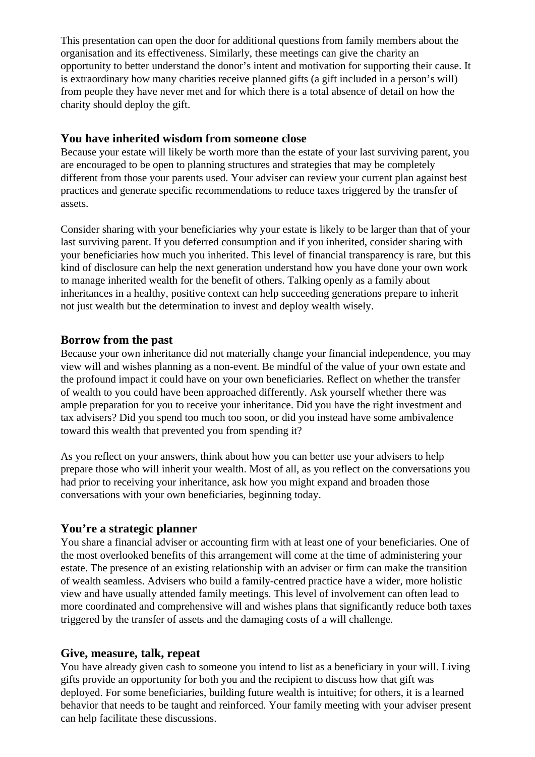This presentation can open the door for additional questions from family members about the organisation and its effectiveness. Similarly, these meetings can give the charity an opportunity to better understand the donor's intent and motivation for supporting their cause. It is extraordinary how many charities receive planned gifts (a gift included in a person's will) from people they have never met and for which there is a total absence of detail on how the charity should deploy the gift.

#### **You have inherited wisdom from someone close**

Because your estate will likely be worth more than the estate of your last surviving parent, you are encouraged to be open to planning structures and strategies that may be completely different from those your parents used. Your adviser can review your current plan against best practices and generate specific recommendations to reduce taxes triggered by the transfer of assets.

Consider sharing with your beneficiaries why your estate is likely to be larger than that of your last surviving parent. If you deferred consumption and if you inherited, consider sharing with your beneficiaries how much you inherited. This level of financial transparency is rare, but this kind of disclosure can help the next generation understand how you have done your own work to manage inherited wealth for the benefit of others. Talking openly as a family about inheritances in a healthy, positive context can help succeeding generations prepare to inherit not just wealth but the determination to invest and deploy wealth wisely.

#### **Borrow from the past**

Because your own inheritance did not materially change your financial independence, you may view will and wishes planning as a non-event. Be mindful of the value of your own estate and the profound impact it could have on your own beneficiaries. Reflect on whether the transfer of wealth to you could have been approached differently. Ask yourself whether there was ample preparation for you to receive your inheritance. Did you have the right investment and tax advisers? Did you spend too much too soon, or did you instead have some ambivalence toward this wealth that prevented you from spending it?

As you reflect on your answers, think about how you can better use your advisers to help prepare those who will inherit your wealth. Most of all, as you reflect on the conversations you had prior to receiving your inheritance, ask how you might expand and broaden those conversations with your own beneficiaries, beginning today.

### **You're a strategic planner**

You share a financial adviser or accounting firm with at least one of your beneficiaries. One of the most overlooked benefits of this arrangement will come at the time of administering your estate. The presence of an existing relationship with an adviser or firm can make the transition of wealth seamless. Advisers who build a family-centred practice have a wider, more holistic view and have usually attended family meetings. This level of involvement can often lead to more coordinated and comprehensive will and wishes plans that significantly reduce both taxes triggered by the transfer of assets and the damaging costs of a will challenge.

#### **Give, measure, talk, repeat**

You have already given cash to someone you intend to list as a beneficiary in your will. Living gifts provide an opportunity for both you and the recipient to discuss how that gift was deployed. For some beneficiaries, building future wealth is intuitive; for others, it is a learned behavior that needs to be taught and reinforced. Your family meeting with your adviser present can help facilitate these discussions.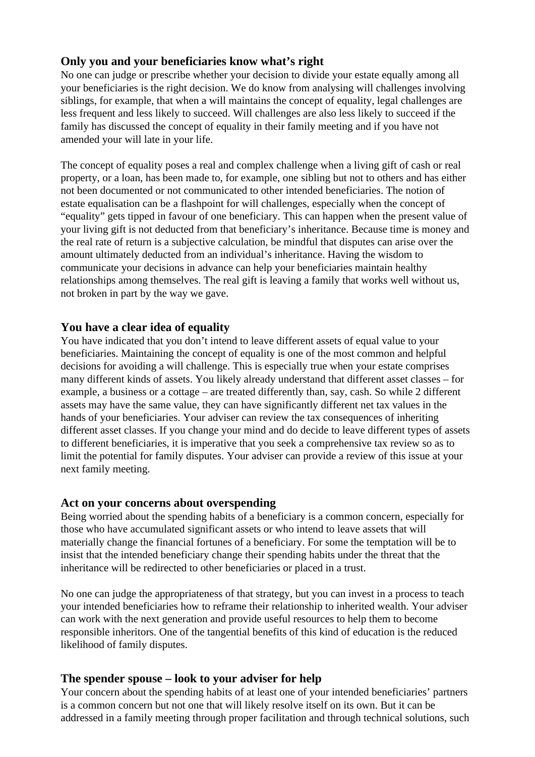### **Only you and your beneficiaries know what's right**

No one can judge or prescribe whether your decision to divide your estate equally among all your beneficiaries is the right decision. We do know from analysing will challenges involving siblings, for example, that when a will maintains the concept of equality, legal challenges are less frequent and less likely to succeed. Will challenges are also less likely to succeed if the family has discussed the concept of equality in their family meeting and if you have not amended your will late in your life.

The concept of equality poses a real and complex challenge when a living gift of cash or real property, or a loan, has been made to, for example, one sibling but not to others and has either not been documented or not communicated to other intended beneficiaries. The notion of estate equalisation can be a flashpoint for will challenges, especially when the concept of "equality" gets tipped in favour of one beneficiary. This can happen when the present value of your living gift is not deducted from that beneficiary's inheritance. Because time is money and the real rate of return is a subjective calculation, be mindful that disputes can arise over the amount ultimately deducted from an individual's inheritance. Having the wisdom to communicate your decisions in advance can help your beneficiaries maintain healthy relationships among themselves. The real gift is leaving a family that works well without us, not broken in part by the way we gave.

### **You have a clear idea of equality**

You have indicated that you don't intend to leave different assets of equal value to your beneficiaries. Maintaining the concept of equality is one of the most common and helpful decisions for avoiding a will challenge. This is especially true when your estate comprises many different kinds of assets. You likely already understand that different asset classes – for example, a business or a cottage – are treated differently than, say, cash. So while 2 different assets may have the same value, they can have significantly different net tax values in the hands of your beneficiaries. Your adviser can review the tax consequences of inheriting different asset classes. If you change your mind and do decide to leave different types of assets to different beneficiaries, it is imperative that you seek a comprehensive tax review so as to limit the potential for family disputes. Your adviser can provide a review of this issue at your next family meeting.

#### **Act on your concerns about overspending**

Being worried about the spending habits of a beneficiary is a common concern, especially for those who have accumulated significant assets or who intend to leave assets that will materially change the financial fortunes of a beneficiary. For some the temptation will be to insist that the intended beneficiary change their spending habits under the threat that the inheritance will be redirected to other beneficiaries or placed in a trust.

No one can judge the appropriateness of that strategy, but you can invest in a process to teach your intended beneficiaries how to reframe their relationship to inherited wealth. Your adviser can work with the next generation and provide useful resources to help them to become responsible inheritors. One of the tangential benefits of this kind of education is the reduced likelihood of family disputes.

### **The spender spouse – look to your adviser for help**

Your concern about the spending habits of at least one of your intended beneficiaries' partners is a common concern but not one that will likely resolve itself on its own. But it can be addressed in a family meeting through proper facilitation and through technical solutions, such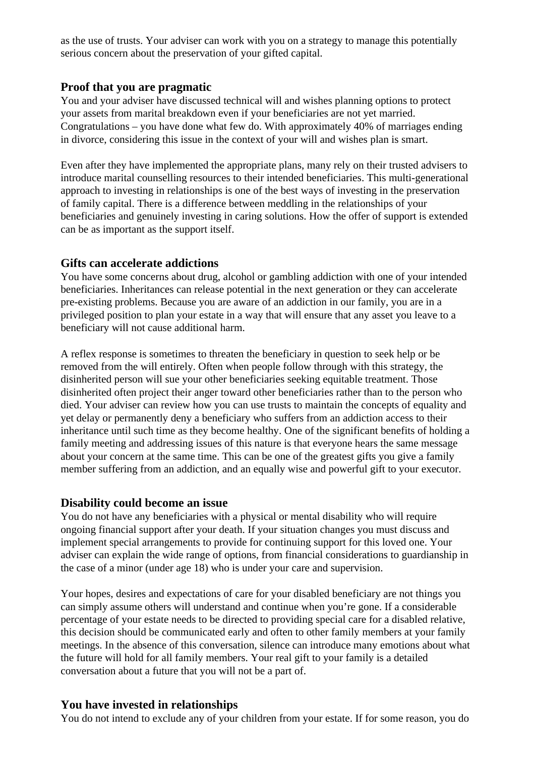as the use of trusts. Your adviser can work with you on a strategy to manage this potentially serious concern about the preservation of your gifted capital.

#### **Proof that you are pragmatic**

You and your adviser have discussed technical will and wishes planning options to protect your assets from marital breakdown even if your beneficiaries are not yet married. Congratulations – you have done what few do. With approximately 40% of marriages ending in divorce, considering this issue in the context of your will and wishes plan is smart.

Even after they have implemented the appropriate plans, many rely on their trusted advisers to introduce marital counselling resources to their intended beneficiaries. This multi-generational approach to investing in relationships is one of the best ways of investing in the preservation of family capital. There is a difference between meddling in the relationships of your beneficiaries and genuinely investing in caring solutions. How the offer of support is extended can be as important as the support itself.

#### **Gifts can accelerate addictions**

You have some concerns about drug, alcohol or gambling addiction with one of your intended beneficiaries. Inheritances can release potential in the next generation or they can accelerate pre-existing problems. Because you are aware of an addiction in our family, you are in a privileged position to plan your estate in a way that will ensure that any asset you leave to a beneficiary will not cause additional harm.

A reflex response is sometimes to threaten the beneficiary in question to seek help or be removed from the will entirely. Often when people follow through with this strategy, the disinherited person will sue your other beneficiaries seeking equitable treatment. Those disinherited often project their anger toward other beneficiaries rather than to the person who died. Your adviser can review how you can use trusts to maintain the concepts of equality and yet delay or permanently deny a beneficiary who suffers from an addiction access to their inheritance until such time as they become healthy. One of the significant benefits of holding a family meeting and addressing issues of this nature is that everyone hears the same message about your concern at the same time. This can be one of the greatest gifts you give a family member suffering from an addiction, and an equally wise and powerful gift to your executor.

#### **Disability could become an issue**

You do not have any beneficiaries with a physical or mental disability who will require ongoing financial support after your death. If your situation changes you must discuss and implement special arrangements to provide for continuing support for this loved one. Your adviser can explain the wide range of options, from financial considerations to guardianship in the case of a minor (under age 18) who is under your care and supervision.

Your hopes, desires and expectations of care for your disabled beneficiary are not things you can simply assume others will understand and continue when you're gone. If a considerable percentage of your estate needs to be directed to providing special care for a disabled relative, this decision should be communicated early and often to other family members at your family meetings. In the absence of this conversation, silence can introduce many emotions about what the future will hold for all family members. Your real gift to your family is a detailed conversation about a future that you will not be a part of.

### **You have invested in relationships**

You do not intend to exclude any of your children from your estate. If for some reason, you do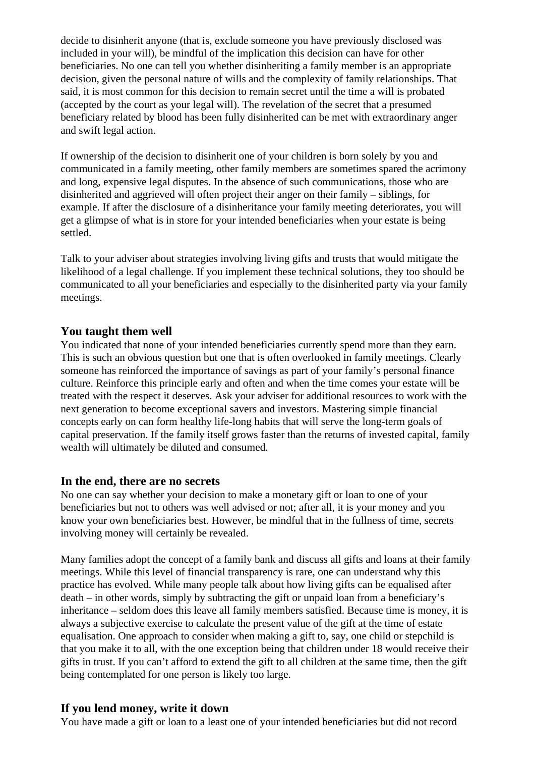decide to disinherit anyone (that is, exclude someone you have previously disclosed was included in your will), be mindful of the implication this decision can have for other beneficiaries. No one can tell you whether disinheriting a family member is an appropriate decision, given the personal nature of wills and the complexity of family relationships. That said, it is most common for this decision to remain secret until the time a will is probated (accepted by the court as your legal will). The revelation of the secret that a presumed beneficiary related by blood has been fully disinherited can be met with extraordinary anger and swift legal action.

If ownership of the decision to disinherit one of your children is born solely by you and communicated in a family meeting, other family members are sometimes spared the acrimony and long, expensive legal disputes. In the absence of such communications, those who are disinherited and aggrieved will often project their anger on their family – siblings, for example. If after the disclosure of a disinheritance your family meeting deteriorates, you will get a glimpse of what is in store for your intended beneficiaries when your estate is being settled.

Talk to your adviser about strategies involving living gifts and trusts that would mitigate the likelihood of a legal challenge. If you implement these technical solutions, they too should be communicated to all your beneficiaries and especially to the disinherited party via your family meetings.

#### **You taught them well**

You indicated that none of your intended beneficiaries currently spend more than they earn. This is such an obvious question but one that is often overlooked in family meetings. Clearly someone has reinforced the importance of savings as part of your family's personal finance culture. Reinforce this principle early and often and when the time comes your estate will be treated with the respect it deserves. Ask your adviser for additional resources to work with the next generation to become exceptional savers and investors. Mastering simple financial concepts early on can form healthy life-long habits that will serve the long-term goals of capital preservation. If the family itself grows faster than the returns of invested capital, family wealth will ultimately be diluted and consumed.

#### **In the end, there are no secrets**

No one can say whether your decision to make a monetary gift or loan to one of your beneficiaries but not to others was well advised or not; after all, it is your money and you know your own beneficiaries best. However, be mindful that in the fullness of time, secrets involving money will certainly be revealed.

Many families adopt the concept of a family bank and discuss all gifts and loans at their family meetings. While this level of financial transparency is rare, one can understand why this practice has evolved. While many people talk about how living gifts can be equalised after death – in other words, simply by subtracting the gift or unpaid loan from a beneficiary's inheritance – seldom does this leave all family members satisfied. Because time is money, it is always a subjective exercise to calculate the present value of the gift at the time of estate equalisation. One approach to consider when making a gift to, say, one child or stepchild is that you make it to all, with the one exception being that children under 18 would receive their gifts in trust. If you can't afford to extend the gift to all children at the same time, then the gift being contemplated for one person is likely too large.

#### **If you lend money, write it down**

You have made a gift or loan to a least one of your intended beneficiaries but did not record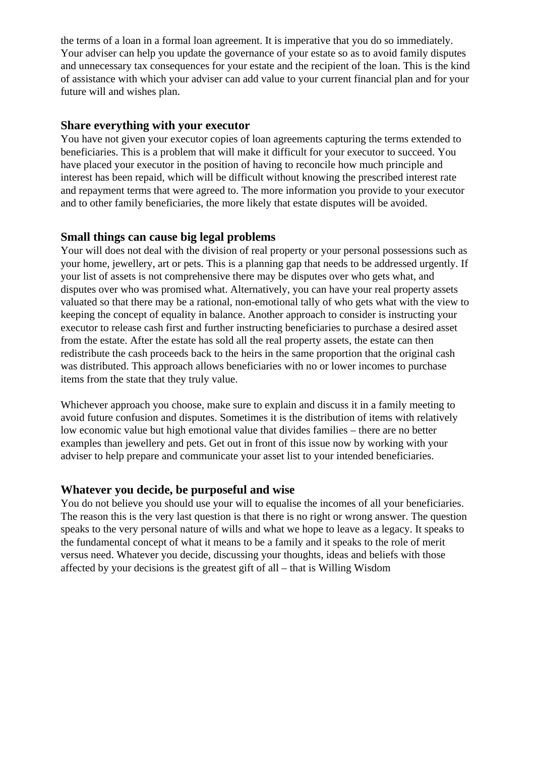the terms of a loan in a formal loan agreement. It is imperative that you do so immediately. Your adviser can help you update the governance of your estate so as to avoid family disputes and unnecessary tax consequences for your estate and the recipient of the loan. This is the kind of assistance with which your adviser can add value to your current financial plan and for your future will and wishes plan.

#### **Share everything with your executor**

You have not given your executor copies of loan agreements capturing the terms extended to beneficiaries. This is a problem that will make it difficult for your executor to succeed. You have placed your executor in the position of having to reconcile how much principle and interest has been repaid, which will be difficult without knowing the prescribed interest rate and repayment terms that were agreed to. The more information you provide to your executor and to other family beneficiaries, the more likely that estate disputes will be avoided.

#### **Small things can cause big legal problems**

Your will does not deal with the division of real property or your personal possessions such as your home, jewellery, art or pets. This is a planning gap that needs to be addressed urgently. If your list of assets is not comprehensive there may be disputes over who gets what, and disputes over who was promised what. Alternatively, you can have your real property assets valuated so that there may be a rational, non-emotional tally of who gets what with the view to keeping the concept of equality in balance. Another approach to consider is instructing your executor to release cash first and further instructing beneficiaries to purchase a desired asset from the estate. After the estate has sold all the real property assets, the estate can then redistribute the cash proceeds back to the heirs in the same proportion that the original cash was distributed. This approach allows beneficiaries with no or lower incomes to purchase items from the state that they truly value.

Whichever approach you choose, make sure to explain and discuss it in a family meeting to avoid future confusion and disputes. Sometimes it is the distribution of items with relatively low economic value but high emotional value that divides families – there are no better examples than jewellery and pets. Get out in front of this issue now by working with your adviser to help prepare and communicate your asset list to your intended beneficiaries.

#### **Whatever you decide, be purposeful and wise**

You do not believe you should use your will to equalise the incomes of all your beneficiaries. The reason this is the very last question is that there is no right or wrong answer. The question speaks to the very personal nature of wills and what we hope to leave as a legacy. It speaks to the fundamental concept of what it means to be a family and it speaks to the role of merit versus need. Whatever you decide, discussing your thoughts, ideas and beliefs with those affected by your decisions is the greatest gift of all – that is Willing Wisdom